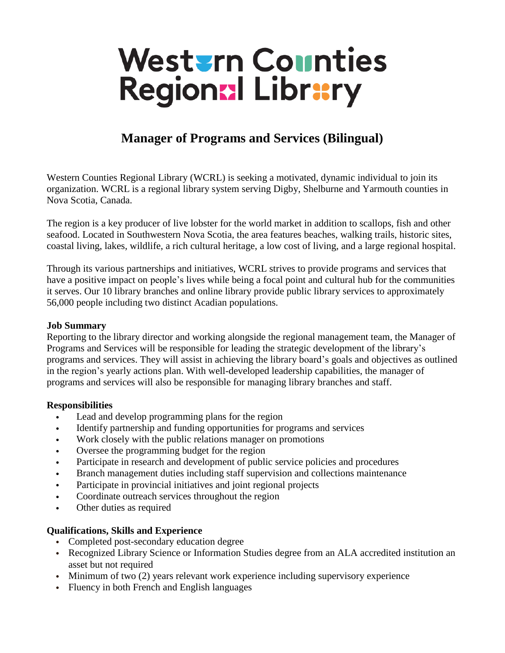# Westurn Counties Regional Library

## **Manager of Programs and Services (Bilingual)**

Western Counties Regional Library (WCRL) is seeking a motivated, dynamic individual to join its organization. WCRL is a regional library system serving Digby, Shelburne and Yarmouth counties in Nova Scotia, Canada.

The region is a key producer of live lobster for the world market in addition to scallops, fish and other seafood. Located in Southwestern Nova Scotia, the area features beaches, walking trails, historic sites, coastal living, lakes, wildlife, a rich cultural heritage, a low cost of living, and a large regional hospital.

Through its various partnerships and initiatives, WCRL strives to provide programs and services that have a positive impact on people's lives while being a focal point and cultural hub for the communities it serves. Our 10 library branches and online library provide public library services to approximately 56,000 people including two distinct Acadian populations.

#### **Job Summary**

Reporting to the library director and working alongside the regional management team, the Manager of Programs and Services will be responsible for leading the strategic development of the library's programs and services. They will assist in achieving the library board's goals and objectives as outlined in the region's yearly actions plan. With well-developed leadership capabilities, the manager of programs and services will also be responsible for managing library branches and staff.

#### **Responsibilities**

- Lead and develop programming plans for the region
- Identify partnership and funding opportunities for programs and services
- Work closely with the public relations manager on promotions
- Oversee the programming budget for the region
- Participate in research and development of public service policies and procedures
- Branch management duties including staff supervision and collections maintenance
- Participate in provincial initiatives and joint regional projects
- Coordinate outreach services throughout the region
- Other duties as required

#### **Qualifications, Skills and Experience**

- Completed post-secondary education degree
- Recognized Library Science or Information Studies degree from an ALA accredited institution an asset but not required
- Minimum of two (2) years relevant work experience including supervisory experience
- Fluency in both French and English languages